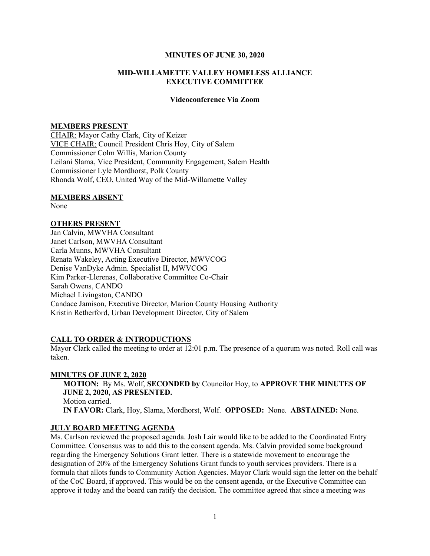## MINUTES OF JUNE 30, 2020

## MID-WILLAMETTE VALLEY HOMELESS ALLIANCE EXECUTIVE COMMITTEE

## Videoconference Via Zoom

#### MEMBERS PRESENT

CHAIR: Mayor Cathy Clark, City of Keizer VICE CHAIR: Council President Chris Hoy, City of Salem Commissioner Colm Willis, Marion County Leilani Slama, Vice President, Community Engagement, Salem Health Commissioner Lyle Mordhorst, Polk County Rhonda Wolf, CEO, United Way of the Mid-Willamette Valley

#### MEMBERS ABSENT

None

### OTHERS PRESENT

Jan Calvin, MWVHA Consultant Janet Carlson, MWVHA Consultant Carla Munns, MWVHA Consultant Renata Wakeley, Acting Executive Director, MWVCOG Denise VanDyke Admin. Specialist II, MWVCOG Kim Parker-Llerenas, Collaborative Committee Co-Chair Sarah Owens, CANDO Michael Livingston, CANDO Candace Jamison, Executive Director, Marion County Housing Authority Kristin Retherford, Urban Development Director, City of Salem

# CALL TO ORDER & INTRODUCTIONS

Mayor Clark called the meeting to order at  $12:01$  p.m. The presence of a quorum was noted. Roll call was taken.

## MINUTES OF JUNE 2, 2020

MOTION: By Ms. Wolf, SECONDED by Councilor Hoy, to APPROVE THE MINUTES OF JUNE 2, 2020, AS PRESENTED. Motion carried. IN FAVOR: Clark, Hoy, Slama, Mordhorst, Wolf. OPPOSED: None. ABSTAINED: None.

# JULY BOARD MEETING AGENDA

Ms. Carlson reviewed the proposed agenda. Josh Lair would like to be added to the Coordinated Entry Committee. Consensus was to add this to the consent agenda. Ms. Calvin provided some background regarding the Emergency Solutions Grant letter. There is a statewide movement to encourage the designation of 20% of the Emergency Solutions Grant funds to youth services providers. There is a formula that allots funds to Community Action Agencies. Mayor Clark would sign the letter on the behalf of the CoC Board, if approved. This would be on the consent agenda, or the Executive Committee can approve it today and the board can ratify the decision. The committee agreed that since a meeting was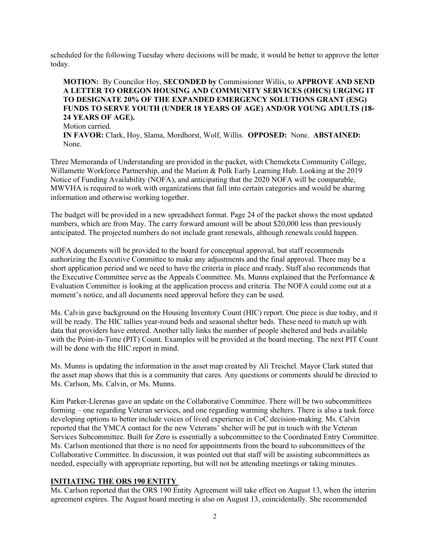scheduled for the following Tuesday where decisions will be made, it would be better to approve the letter today.

# MOTION: By Councilor Hoy, SECONDED by Commissioner Willis, to APPROVE AND SEND A LETTER TO OREGON HOUSING AND COMMUNITY SERVICES (OHCS) URGING IT TO DESIGNATE 20% OF THE EXPANDED EMERGENCY SOLUTIONS GRANT (ESG) FUNDS TO SERVE YOUTH (UNDER 18 YEARS OF AGE) AND/OR YOUNG ADULTS (18- 24 YEARS OF AGE).

Motion carried. IN FAVOR: Clark, Hoy, Slama, Mordhorst, Wolf, Willis. OPPOSED: None. ABSTAINED: None.

Three Memoranda of Understanding are provided in the packet, with Chemeketa Community College, Willamette Workforce Partnership, and the Marion & Polk Early Learning Hub. Looking at the 2019 Notice of Funding Availability (NOFA), and anticipating that the 2020 NOFA will be comparable, MWVHA is required to work with organizations that fall into certain categories and would be sharing information and otherwise working together.

The budget will be provided in a new spreadsheet format. Page 24 of the packet shows the most updated numbers, which are from May. The carry forward amount will be about \$20,000 less than previously anticipated. The projected numbers do not include grant renewals, although renewals could happen.

NOFA documents will be provided to the board for conceptual approval, but staff recommends authorizing the Executive Committee to make any adjustments and the final approval. There may be a short application period and we need to have the criteria in place and ready. Staff also recommends that the Executive Committee serve as the Appeals Committee. Ms. Munns explained that the Performance & Evaluation Committee is looking at the application process and criteria. The NOFA could come out at a moment's notice, and all documents need approval before they can be used.

Ms. Calvin gave background on the Housing Inventory Count (HIC) report. One piece is due today, and it will be ready. The HIC tallies year-round beds and seasonal shelter beds. These need to match up with data that providers have entered. Another tally links the number of people sheltered and beds available with the Point-in-Time (PIT) Count. Examples will be provided at the board meeting. The next PIT Count will be done with the HIC report in mind.

Ms. Munns is updating the information in the asset map created by Ali Treichel. Mayor Clark stated that the asset map shows that this is a community that cares. Any questions or comments should be directed to Ms. Carlson, Ms. Calvin, or Ms. Munns.

Kim Parker-Llerenas gave an update on the Collaborative Committee. There will be two subcommittees forming – one regarding Veteran services, and one regarding warming shelters. There is also a task force developing options to better include voices of lived experience in CoC decision-making. Ms. Calvin reported that the YMCA contact for the new Veterans' shelter will be put in touch with the Veteran Services Subcommittee. Built for Zero is essentially a subcommittee to the Coordinated Entry Committee. Ms. Carlson mentioned that there is no need for appointments from the board to subcommittees of the Collaborative Committee. In discussion, it was pointed out that staff will be assisting subcommittees as needed, especially with appropriate reporting, but will not be attending meetings or taking minutes.

# INITIATING THE ORS 190 ENTITY

Ms. Carlson reported that the ORS 190 Entity Agreement will take effect on August 13, when the interim agreement expires. The August board meeting is also on August 13, coincidentally. She recommended